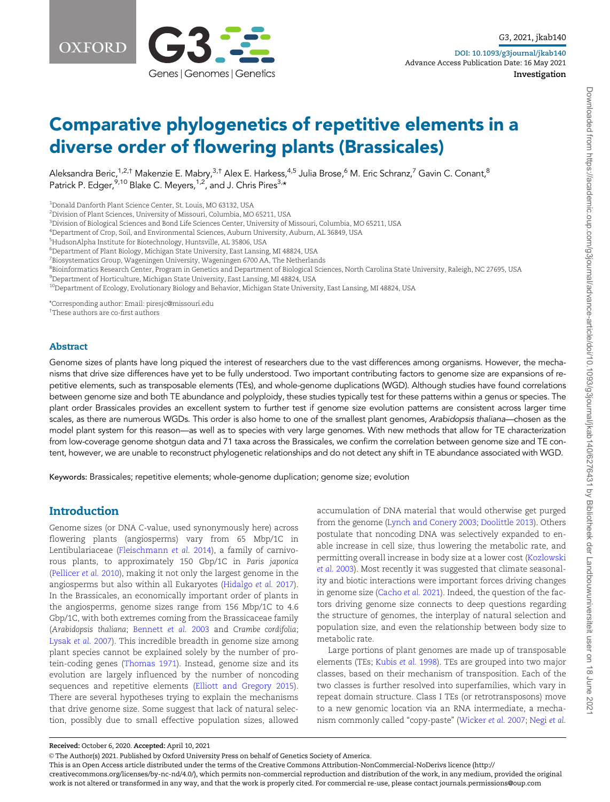

Investigation

# Comparative phylogenetics of repetitive elements in a diverse order of flowering plants (Brassicales)

Aleksandra Beric,<sup>1,2,†</sup> Makenzie E. Mabry,<sup>3,†</sup> Alex E. Harkess,<sup>4,5</sup> Julia Brose,<sup>6</sup> M. Eric Schranz,<sup>7</sup> Gavin C. Conant,<sup>8</sup> Patrick P. Edger, <sup>9,10</sup> Blake C. Meyers, <sup>1,2</sup>, and J. Chris Pires<sup>3,\*</sup>

1 Donald Danforth Plant Science Center, St. Louis, MO 63132, USA

2 Division of Plant Sciences, University of Missouri, Columbia, MO 65211, USA

4 Department of Crop, Soil, and Environmental Sciences, Auburn University, Auburn, AL 36849, USA

5 HudsonAlpha Institute for Biotechnology, Huntsville, AL 35806, USA

6 Department of Plant Biology, Michigan State University, East Lansing, MI 48824, USA

 $^7$ Biosystematics Group, Wageningen University, Wageningen 6700 AA, The Netherlands

<sup>8</sup>Bioinformatics Research Center, Program in Genetics and Department of Biological Sciences, North Carolina State University, Raleigh, NC 27695, USA

9 Department of Horticulture, Michigan State University, East Lansing, MI 48824, USA

 $^{10}\rm{D}$ epartment of Ecology, Evolutionary Biology and Behavior, Michigan State University, East Lansing, MI 48824, USA

\*Corresponding author: Email: piresjc@missouri.edu

† These authors are co-first authors

#### Abstract

Genome sizes of plants have long piqued the interest of researchers due to the vast differences among organisms. However, the mechanisms that drive size differences have yet to be fully understood. Two important contributing factors to genome size are expansions of repetitive elements, such as transposable elements (TEs), and whole-genome duplications (WGD). Although studies have found correlations between genome size and both TE abundance and polyploidy, these studies typically test for these patterns within a genus or species. The plant order Brassicales provides an excellent system to further test if genome size evolution patterns are consistent across larger time scales, as there are numerous WGDs. This order is also home to one of the smallest plant genomes, Arabidopsis thaliana—chosen as the model plant system for this reason—as well as to species with very large genomes. With new methods that allow for TE characterization from low-coverage genome shotgun data and 71 taxa across the Brassicales, we confirm the correlation between genome size and TE content, however, we are unable to reconstruct phylogenetic relationships and do not detect any shift in TE abundance associated with WGD.

Keywords: Brassicales; repetitive elements; whole-genome duplication; genome size; evolution

## Introduction

Genome sizes (or DNA C-value, used synonymously here) across flowering plants (angiosperms) vary from 65 Mbp/1C in Lentibulariaceae [\(Fleischmann](#page-9-0) et al. 2014), a family of carnivorous plants, to approximately 150 Gbp/1C in Paris japonica ([Pellicer](#page-10-0) et al. 2010), making it not only the largest genome in the angiosperms but also within all Eukaryotes [\(Hidalgo](#page-9-0) et al. 2017). In the Brassicales, an economically important order of plants in the angiosperms, genome sizes range from 156 Mbp/1C to 4.6 Gbp/1C, with both extremes coming from the Brassicaceae family (Arabidopsis thaliana; [Bennett](#page-8-0) et al. 2003 and Crambe cordifolia; [Lysak](#page-9-0) et al. 2007). This incredible breadth in genome size among plant species cannot be explained solely by the number of protein-coding genes [\(Thomas 1971](#page-10-0)). Instead, genome size and its evolution are largely influenced by the number of noncoding sequences and repetitive elements ([Elliott and Gregory 2015\)](#page-9-0). There are several hypotheses trying to explain the mechanisms that drive genome size. Some suggest that lack of natural selection, possibly due to small effective population sizes, allowed

accumulation of DNA material that would otherwise get purged from the genome [\(Lynch and Conery 2003](#page-9-0); [Doolittle 2013](#page-9-0)). Others postulate that noncoding DNA was selectively expanded to enable increase in cell size, thus lowering the metabolic rate, and permitting overall increase in body size at a lower cost [\(Kozlowski](#page-9-0) et al. [2003\)](#page-9-0). Most recently it was suggested that climate seasonality and biotic interactions were important forces driving changes in genome size [\(Cacho](#page-8-0) et al. 2021). Indeed, the question of the factors driving genome size connects to deep questions regarding the structure of genomes, the interplay of natural selection and population size, and even the relationship between body size to metabolic rate.

Large portions of plant genomes are made up of transposable elements (TEs; [Kubis](#page-9-0) et al. 1998). TEs are grouped into two major classes, based on their mechanism of transposition. Each of the two classes is further resolved into superfamilies, which vary in repeat domain structure. Class I TEs (or retrotransposons) move to a new genomic location via an RNA intermediate, a mechanism commonly called "copy-paste" [\(Wicker](#page-10-0) et al. 2007; [Negi](#page-10-0) et al.

Received: October 6, 2020. Accepted: April 10, 2021

V<sup>C</sup> The Author(s) 2021. Published by Oxford University Press on behalf of Genetics Society of America.

This is an Open Access article distributed under the terms of the Creative Commons Attribution-NonCommercial-NoDerivs licence (http://

creativecommons.org/licenses/by-nc-nd/4.0/), which permits non-commercial reproduction and distribution of the work, in any medium, provided the original work is not altered or transformed in any way, and that the work is properly cited. For commercial re-use, please contact journals.permissions@oup.com

<sup>3</sup> Division of Biological Sciences and Bond Life Sciences Center, University of Missouri, Columbia, MO 65211, USA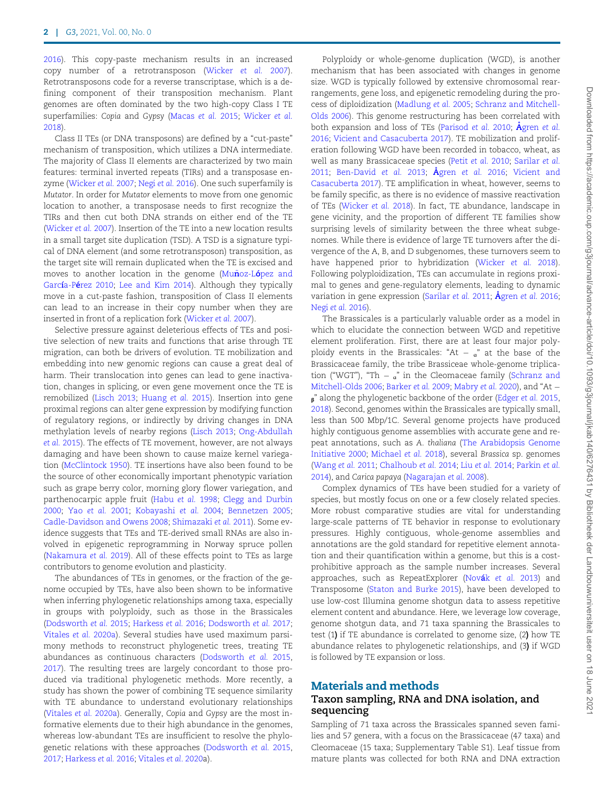[2016\)](#page-10-0). This copy-paste mechanism results in an increased copy number of a retrotransposon [\(Wicker](#page-10-0) et al. 2007). Retrotransposons code for a reverse transcriptase, which is a defining component of their transposition mechanism. Plant genomes are often dominated by the two high-copy Class I TE superfamilies: Copia and Gypsy [\(Macas](#page-9-0) et al. 2015; [Wicker](#page-10-0) et al. [2018\)](#page-10-0).

Class II TEs (or DNA transposons) are defined by a "cut-paste" mechanism of transposition, which utilizes a DNA intermediate. The majority of Class II elements are characterized by two main features: terminal inverted repeats (TIRs) and a transposase enzyme [\(Wicker](#page-10-0) et al. 2007; Negi et al. [2016](#page-10-0)). One such superfamily is Mutator. In order for Mutator elements to move from one genomic location to another, a transposase needs to first recognize the TIRs and then cut both DNA strands on either end of the TE ([Wicker](#page-10-0) et al. 2007). Insertion of the TE into a new location results in a small target site duplication (TSD). A TSD is a signature typical of DNA element (and some retrotransposon) transposition, as the target site will remain duplicated when the TE is excised and moves to another location in the genome ([Mu](#page-9-0)noz-Lo[pez and](#page-9-0) García-Pé[rez 2010;](#page-9-0) [Lee and Kim 2014\)](#page-9-0). Although they typically move in a cut-paste fashion, transposition of Class II elements can lead to an increase in their copy number when they are inserted in front of a replication fork ([Wicker](#page-10-0) et al. 2007).

Selective pressure against deleterious effects of TEs and positive selection of new traits and functions that arise through TE migration, can both be drivers of evolution. TE mobilization and embedding into new genomic regions can cause a great deal of harm. Their translocation into genes can lead to gene inactivation, changes in splicing, or even gene movement once the TE is remobilized [\(Lisch 2013](#page-9-0); [Huang](#page-9-0) et al. 2015). Insertion into gene proximal regions can alter gene expression by modifying function of regulatory regions, or indirectly by driving changes in DNA methylation levels of nearby regions [\(Lisch 2013](#page-9-0); [Ong-Abdullah](#page-10-0) et al. [2015\)](#page-10-0). The effects of TE movement, however, are not always damaging and have been shown to cause maize kernel variegation [\(McClintock 1950](#page-9-0)). TE insertions have also been found to be the source of other economically important phenotypic variation such as grape berry color, morning glory flower variegation, and parthenocarpic apple fruit ([Habu](#page-9-0) et al. 1998; [Clegg and Durbin](#page-9-0) [2000;](#page-9-0) Yao [et al.](#page-10-0) 2001; [Kobayashi](#page-9-0) et al. 2004; [Bennetzen 2005;](#page-8-0) [Cadle-Davidson and Owens 2008](#page-8-0); [Shimazaki](#page-10-0) et al. 2011). Some evidence suggests that TEs and TE-derived small RNAs are also involved in epigenetic reprogramming in Norway spruce pollen ([Nakamura](#page-9-0) et al. 2019). All of these effects point to TEs as large contributors to genome evolution and plasticity.

The abundances of TEs in genomes, or the fraction of the genome occupied by TEs, have also been shown to be informative when inferring phylogenetic relationships among taxa, especially in groups with polyploidy, such as those in the Brassicales ([Dodsworth](#page-9-0) et al. 2015; [Harkess](#page-9-0) et al. 2016; [Dodsworth](#page-9-0) et al. 2017; [Vitales](#page-10-0) et al. 2020a). Several studies have used maximum parsimony methods to reconstruct phylogenetic trees, treating TE abundances as continuous characters ([Dodsworth](#page-9-0) et al. 2015, [2017\)](#page-9-0). The resulting trees are largely concordant to those produced via traditional phylogenetic methods. More recently, a study has shown the power of combining TE sequence similarity with TE abundance to understand evolutionary relationships ([Vitales](#page-10-0) et al. 2020a). Generally, Copia and Gypsy are the most informative elements due to their high abundance in the genomes, whereas low-abundant TEs are insufficient to resolve the phylogenetic relations with these approaches [\(Dodsworth](#page-9-0) et al. 2015, [2017;](#page-9-0) [Harkess](#page-9-0) et al. 2016; [Vitales](#page-10-0) et al. 2020a).

Polyploidy or whole-genome duplication (WGD), is another mechanism that has been associated with changes in genome size. WGD is typically followed by extensive chromosomal rearrangements, gene loss, and epigenetic remodeling during the process of diploidization ([Madlung](#page-9-0) et al. 2005; [Schranz and Mitchell-](#page-10-0)[Olds 2006\)](#page-10-0). This genome restructuring has been correlated with both expansion and loss of TEs [\(Parisod](#page-10-0) [et al.](#page-8-0) 2010; Ågren et al. [2016](#page-8-0); [Vicient and Casacuberta 2017\)](#page-10-0). TE mobilization and proliferation following WGD have been recorded in tobacco, wheat, as well as many Brassicaceae species (Petit [et al.](#page-10-0) 2010; [Sarilar](#page-10-0) et al. [2011](#page-10-0); [Ben-David](#page-8-0) [et al.](#page-8-0) 2013;  $\AA$ gren et al. 2016; [Vicient and](#page-10-0) [Casacuberta 2017\)](#page-10-0). TE amplification in wheat, however, seems to be family specific, as there is no evidence of massive reactivation of TEs [\(Wicker](#page-10-0) et al. 2018). In fact, TE abundance, landscape in gene vicinity, and the proportion of different TE families show surprising levels of similarity between the three wheat subgenomes. While there is evidence of large TE turnovers after the divergence of the A, B, and D subgenomes, these turnovers seem to have happened prior to hybridization ([Wicker](#page-10-0) et al. 2018). Following polyploidization, TEs can accumulate in regions proximal to genes and gene-regulatory elements, leading to dynamic variation in gene expression ([Sarilar](#page-10-0) et al. 2011;  $\AA$  gren et al. [2016;](#page-8-0) Negi et al. [2016\)](#page-10-0).

The Brassicales is a particularly valuable order as a model in which to elucidate the connection between WGD and repetitive element proliferation. First, there are at least four major polyploidy events in the Brassicales: "At  $\frac{1}{a}$ " at the base of the Brassicaceae family, the tribe Brassiceae whole-genome triplication ("WGT"), "Th  $\frac{1}{a}$ " in the Cleomaceae family [\(Schranz and](#page-10-0) [Mitchell-Olds 2006](#page-10-0); [Barker](#page-8-0) et al. 2009; [Mabry](#page-9-0) et al. 2020), and "At -  $\beta$ " along the phylogenetic backbone of the order ([Edger](#page-9-0) et al. 2015, [2018](#page-9-0)). Second, genomes within the Brassicales are typically small, less than 500 Mbp/1C. Several genome projects have produced highly contiguous genome assemblies with accurate gene and repeat annotations, such as A. thaliana [\(The Arabidopsis Genome](#page-10-0) [Initiative 2000](#page-10-0); [Michael](#page-9-0) et al. 2018), several Brassica sp. genomes [\(Wang](#page-10-0) et al. 2011; [Chalhoub](#page-8-0) et al. 2014; Liu et al. [2014;](#page-9-0) [Parkin](#page-10-0) et al. [2014](#page-10-0)), and Carica papaya [\(Nagarajan](#page-9-0) et al. 2008).

Complex dynamics of TEs have been studied for a variety of species, but mostly focus on one or a few closely related species. More robust comparative studies are vital for understanding large-scale patterns of TE behavior in response to evolutionary pressures. Highly contiguous, whole-genome assemblies and annotations are the gold standard for repetitive element annotation and their quantification within a genome, but this is a costprohibitive approach as the sample number increases. Several approaches, such as RepeatExplorer (Novák [et al.](#page-10-0) 2013) and Transposome ([Staton and Burke 2015](#page-10-0)), have been developed to use low-cost Illumina genome shotgun data to assess repetitive element content and abundance. Here, we leverage low coverage, genome shotgun data, and 71 taxa spanning the Brassicales to test (1) if TE abundance is correlated to genome size, (2) how TE abundance relates to phylogenetic relationships, and (3) if WGD is followed by TE expansion or loss.

## Materials and methods

### Taxon sampling, RNA and DNA isolation, and sequencing

Sampling of 71 taxa across the Brassicales spanned seven families and 57 genera, with a focus on the Brassicaceae (47 taxa) and Cleomaceae (15 taxa; Supplementary Table S1). Leaf tissue from mature plants was collected for both RNA and DNA extraction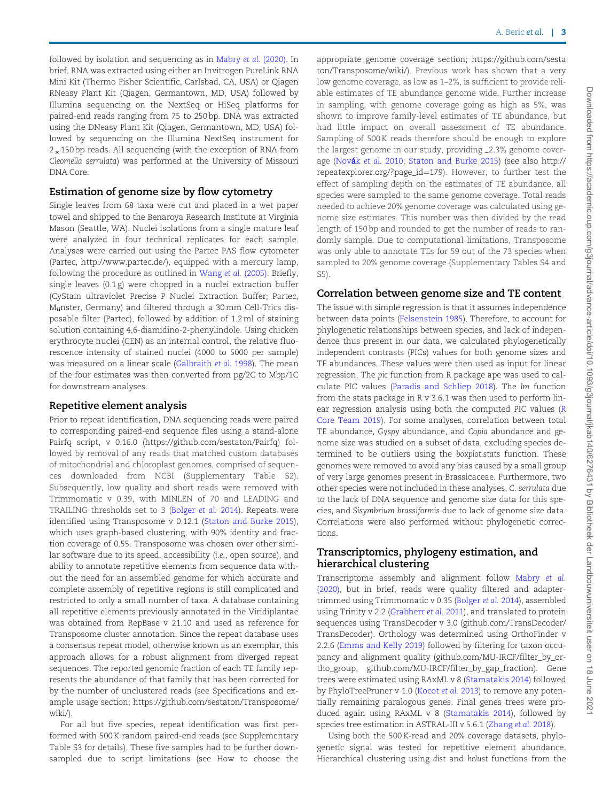followed by isolation and sequencing as in [Mabry](#page-9-0) et al. (2020). In brief, RNA was extracted using either an Invitrogen PureLink RNA Mini Kit (Thermo Fisher Scientific, Carlsbad, CA, USA) or Qiagen RNeasy Plant Kit (Qiagen, Germantown, MD, USA) followed by Illumina sequencing on the NextSeq or HiSeq platforms for paired-end reads ranging from 75 to 250 bp. DNA was extracted using the DNeasy Plant Kit (Qiagen, Germantown, MD, USA) followed by sequencing on the Illumina NextSeq instrument for  $2 \times 150$  bp reads. All sequencing (with the exception of RNA from Cleomella serrulata) was performed at the University of Missouri DNA Core.

## Estimation of genome size by flow cytometry

Single leaves from 68 taxa were cut and placed in a wet paper towel and shipped to the Benaroya Research Institute at Virginia Mason (Seattle, WA). Nuclei isolations from a single mature leaf were analyzed in four technical replicates for each sample. Analyses were carried out using the Partec PAS flow cytometer (Partec,<http://www.partec.de/>), equipped with a mercury lamp, following the procedure as outlined in Wang et al. [\(2005\).](#page-10-0) Briefly, single leaves (0.1 g) were chopped in a nuclei extraction buffer (CyStain ultraviolet Precise P Nuclei Extraction Buffer; Partec, M<sub>ü</sub>nster, Germany) and filtered through a 30 mm Cell-Trics disposable filter (Partec), followed by addition of 1.2 ml of staining solution containing 4,6-diamidino-2-phenylindole. Using chicken erythrocyte nuclei (CEN) as an internal control, the relative fluorescence intensity of stained nuclei (4000 to 5000 per sample) was measured on a linear scale ([Galbraith](#page-9-0) et al. 1998). The mean of the four estimates was then converted from pg/2C to Mbp/1C for downstream analyses.

## Repetitive element analysis

Prior to repeat identification, DNA sequencing reads were paired to corresponding paired-end sequence files using a stand-alone Pairfq script, v 0.16.0 (<https://github.com/sestaton/Pairfq>) followed by removal of any reads that matched custom databases of mitochondrial and chloroplast genomes, comprised of sequences downloaded from NCBI (Supplementary Table S2). Subsequently, low quality and short reads were removed with Trimmomatic v 0.39, with MINLEN of 70 and LEADING and TRAILING thresholds set to 3 ([Bolger](#page-8-0) et al. 2014). Repeats were identified using Transposome v 0.12.1 [\(Staton and Burke 2015\)](#page-10-0), which uses graph-based clustering, with 90% identity and fraction coverage of 0.55. Transposome was chosen over other similar software due to its speed, accessibility (i.e., open source), and ability to annotate repetitive elements from sequence data without the need for an assembled genome for which accurate and complete assembly of repetitive regions is still complicated and restricted to only a small number of taxa. A database containing all repetitive elements previously annotated in the Viridiplantae was obtained from RepBase v 21.10 and used as reference for Transposome cluster annotation. Since the repeat database uses a consensus repeat model, otherwise known as an exemplar, this approach allows for a robust alignment from diverged repeat sequences. The reported genomic fraction of each TE family represents the abundance of that family that has been corrected for by the number of unclustered reads (see Specifications and example usage section; [https://github.com/sestaton/Transposome/](https://github.com/sestaton/Transposome/wiki/) [wiki/\)](https://github.com/sestaton/Transposome/wiki/).

For all but five species, repeat identification was first performed with 500 K random paired-end reads (see Supplementary Table S3 for details). These five samples had to be further downsampled due to script limitations (see How to choose the

appropriate genome coverage section; [https://github.com/sesta](https://github.com/sestaton/Transposome/wiki/) [ton/Transposome/wiki/](https://github.com/sestaton/Transposome/wiki/)). Previous work has shown that a very low genome coverage, as low as 1–2%, is sufficient to provide reliable estimates of TE abundance genome wide. Further increase in sampling, with genome coverage going as high as 5%, was shown to improve family-level estimates of TE abundance, but had little impact on overall assessment of TE abundance. Sampling of 500 K reads therefore should be enough to explore the largest genome in our study, providing 2.3% genome cover-age (Novák et al. [2010;](#page-10-0) [Staton and Burke 2015\)](#page-10-0) (see also [http://](http://repeatexplorer.org/?page_id=179) [repeatexplorer.org/?page\\_id](http://repeatexplorer.org/?page_id=179)=[179](http://repeatexplorer.org/?page_id=179)). However, to further test the effect of sampling depth on the estimates of TE abundance, all species were sampled to the same genome coverage. Total reads needed to achieve 20% genome coverage was calculated using genome size estimates. This number was then divided by the read length of 150 bp and rounded to get the number of reads to randomly sample. Due to computational limitations, Transposome was only able to annotate TEs for 59 out of the 73 species when sampled to 20% genome coverage (Supplementary Tables S4 and S5).

## Correlation between genome size and TE content

The issue with simple regression is that it assumes independence between data points [\(Felsenstein 1985](#page-9-0)). Therefore, to account for phylogenetic relationships between species, and lack of independence thus present in our data, we calculated phylogenetically independent contrasts (PICs) values for both genome sizes and TE abundances. These values were then used as input for linear regression. The pic function from R package ape was used to calculate PIC values [\(Paradis and Schliep 2018](#page-10-0)). The lm function from the stats package in R v 3.6.1 was then used to perform linear regression analysis using both the computed PIC values ([R](#page-10-0) [Core Team 2019](#page-10-0)). For some analyses, correlation between total TE abundance, Gyspy abundance, and Copia abundance and genome size was studied on a subset of data, excluding species determined to be outliers using the boxplot.stats function. These genomes were removed to avoid any bias caused by a small group of very large genomes present in Brassicaceae. Furthermore, two other species were not included in these analyses, C. serrulata due to the lack of DNA sequence and genome size data for this species, and Sisymbrium brassiformis due to lack of genome size data. Correlations were also performed without phylogenetic corrections.

## Transcriptomics, phylogeny estimation, and hierarchical clustering

Transcriptome assembly and alignment follow [Mabry](#page-9-0) et al. [\(2020\),](#page-9-0) but in brief, reads were quality filtered and adaptertrimmed using Trimmomatic v 0.35 ([Bolger](#page-8-0) et al. 2014), assembled using Trinity v 2.2 [\(Grabherr](#page-9-0) et al. 2011), and translated to protein sequences using TransDecoder v 3.0 (github.com/TransDecoder/ TransDecoder). Orthology was determined using OrthoFinder v 2.2.6 ([Emms and Kelly 2019\)](#page-9-0) followed by filtering for taxon occupancy and alignment quality (github.com/MU-IRCF/filter\_by\_ortho\_group, github.com/MU-IRCF/filter\_by\_gap\_fraction). Gene trees were estimated using RAxML v 8 ([Stamatakis 2014](#page-10-0)) followed by PhyloTreePruner v 1.0 ([Kocot](#page-9-0) et al. 2013) to remove any potentially remaining paralogous genes. Final genes trees were produced again using RAxML v 8 ([Stamatakis 2014\)](#page-10-0), followed by species tree estimation in ASTRAL-III v 5.6.1 ([Zhang](#page-10-0) et al. 2018).

Using both the 500 K-read and 20% coverage datasets, phylogenetic signal was tested for repetitive element abundance. Hierarchical clustering using dist and hclust functions from the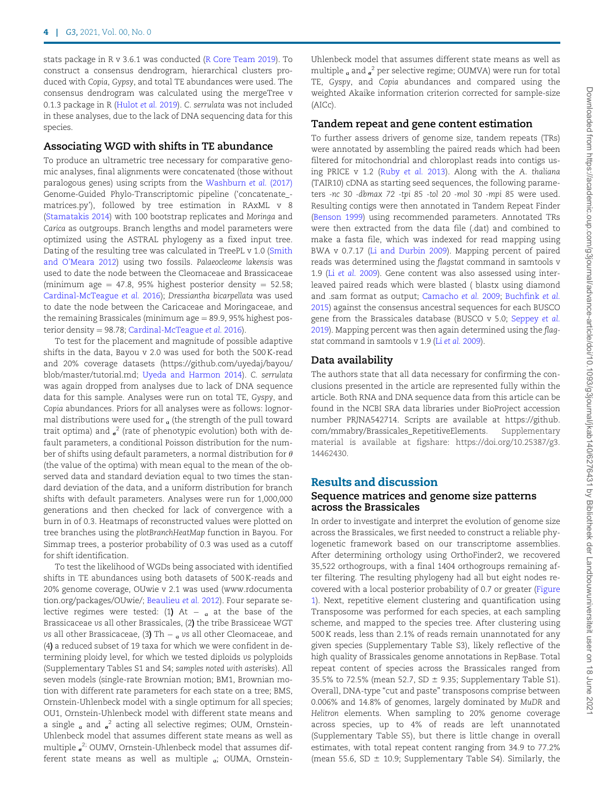stats package in R v 3.6.1 was conducted ([R Core Team 2019](#page-10-0)). To construct a consensus dendrogram, hierarchical clusters produced with Copia, Gypsy, and total TE abundances were used. The consensus dendrogram was calculated using the mergeTree v 0.1.3 package in R ([Hulot](#page-9-0) et al. 2019). C. serrulata was not included in these analyses, due to the lack of DNA sequencing data for this species.

#### Associating WGD with shifts in TE abundance

To produce an ultrametric tree necessary for comparative genomic analyses, final alignments were concatenated (those without paralogous genes) using scripts from the [Washburn](#page-10-0) et al. (2017) Genome-Guided Phylo-Transcriptomic pipeline ('concatenate\_ matrices.py'), followed by tree estimation in RAxML v 8 ([Stamatakis 2014\)](#page-10-0) with 100 bootstrap replicates and Moringa and Carica as outgroups. Branch lengths and model parameters were optimized using the ASTRAL phylogeny as a fixed input tree. Dating of the resulting tree was calculated in TreePL v 1.0 [\(Smith](#page-10-0) [and O'Meara 2012\)](#page-10-0) using two fossils. Palaeocleome lakensis was used to date the node between the Cleomaceae and Brassicaceae (minimum age  $= 47.8$ , 95% highest posterior density  $= 52.58$ ; [Cardinal-McTeague](#page-8-0) et al. 2016); Dressiantha bicarpellata was used to date the node between the Caricaceae and Moringaceae, and the remaining Brassicales (minimum age  $= 89.9, 95\%$  highest posterior density  $= 98.78$ ; [Cardinal-McTeague](#page-8-0) et al. 2016).

To test for the placement and magnitude of possible adaptive shifts in the data, Bayou v 2.0 was used for both the 500 K-read and 20% coverage datasets ([https://github.com/uyedaj/bayou/](https://github.com/uyedaj/bayou/blob/master/tutorial.md) [blob/master/tutorial.md](https://github.com/uyedaj/bayou/blob/master/tutorial.md); [Uyeda and Harmon 2014](#page-10-0)). C. serrulata was again dropped from analyses due to lack of DNA sequence data for this sample. Analyses were run on total TE, Gyspy, and Copia abundances. Priors for all analyses were as follows: lognormal distributions were used for  $\alpha$  (the strength of the pull toward trait optima) and  $_{\sigma}^2$  (rate of phenotypic evolution) both with default parameters, a conditional Poisson distribution for the number of shifts using default parameters, a normal distribution for  $\theta$ (the value of the optima) with mean equal to the mean of the observed data and standard deviation equal to two times the standard deviation of the data, and a uniform distribution for branch shifts with default parameters. Analyses were run for 1,000,000 generations and then checked for lack of convergence with a burn in of 0.3. Heatmaps of reconstructed values were plotted on tree branches using the plotBranchHeatMap function in Bayou. For Simmap trees, a posterior probability of 0.3 was used as a cutoff for shift identification.

To test the likelihood of WGDs being associated with identified shifts in TE abundances using both datasets of 500 K-reads and 20% genome coverage, OUwie v 2.1 was used ([www.rdocumenta](http://www.rdocumentation.org/packages/OUwie/) [tion.org/packages/OUwie/](http://www.rdocumentation.org/packages/OUwie/); [Beaulieu](#page-8-0) et al. 2012). Four separate selective regimes were tested: (1**)** At – <sub>a</sub> at the base of the Brassicaceae vs all other Brassicales, (2) the tribe Brassiceae WGT vs all other Brassicaceae, (3**)** Th  $_{\rm a}$  vs all other Cleomaceae, and (4) a reduced subset of 19 taxa for which we were confident in determining ploidy level, for which we tested diploids vs polyploids (Supplementary Tables S1 and S4; samples noted with asterisks). All seven models (single-rate Brownian motion; BM1, Brownian motion with different rate parameters for each state on a tree; BMS, Ornstein-Uhlenbeck model with a single optimum for all species; OU1, Ornstein-Uhlenbeck model with different state means and a single  $_{\alpha}$  and  $_{\sigma}^2$  acting all selective regimes; OUM, Ornstein-Uhlenbeck model that assumes different state means as well as multiple  $_{\sigma}^{2}$ ; OUMV, Ornstein-Uhlenbeck model that assumes different state means as well as multiple  $_a$ ; OUMA, OrnsteinUhlenbeck model that assumes different state means as well as multiple  $_{\alpha}$  and  $_{\sigma}^{2}$  per selective regime; OUMVA) were run for total TE, Gyspy, and Copia abundances and compared using the weighted Akaike information criterion corrected for sample-size (AICc).

### Tandem repeat and gene content estimation

To further assess drivers of genome size, tandem repeats (TRs) were annotated by assembling the paired reads which had been filtered for mitochondrial and chloroplast reads into contigs using PRICE v 1.2 (Ruby [et al.](#page-10-0) 2013). Along with the A. thaliana (TAIR10) cDNA as starting seed sequences, the following parameters -nc 30 -dbmax 72 -tpi 85 -tol 20 -mol 30 -mpi 85 were used. Resulting contigs were then annotated in Tandem Repeat Finder [\(Benson 1999](#page-8-0)) using recommended parameters. Annotated TRs were then extracted from the data file (.dat) and combined to make a fasta file, which was indexed for read mapping using BWA v 0.7.17 [\(Li and Durbin 2009](#page-9-0)). Mapping percent of paired reads was determined using the flagstat command in samtools v 1.9 (Li [et al.](#page-9-0) 2009). Gene content was also assessed using interleaved paired reads which were blasted ( blastx using diamond and .sam format as output; [Camacho](#page-8-0) et al. 2009; [Buchfink](#page-8-0) et al. [2015](#page-8-0)) against the consensus ancestral sequences for each BUSCO gene from the Brassicales database (BUSCO v 5.0; [Seppey](#page-10-0) et al. [2019](#page-10-0)). Mapping percent was then again determined using the flagstat command in samtools v 1.9 (Li et al. [2009](#page-9-0)).

### Data availability

The authors state that all data necessary for confirming the conclusions presented in the article are represented fully within the article. Both RNA and DNA sequence data from this article can be found in the NCBI SRA data libraries under BioProject accession number PRJNA542714. Scripts are available at [https://github.](https://github.com/mmabry/Brassicales_RepetitiveElements) [com/mmabry/Brassicales\\_RepetitiveElements](https://github.com/mmabry/Brassicales_RepetitiveElements). Supplementary material is available at figshare: [https://doi.org/10.25387/g3.](https://doi.org/10.25387/g3.14462430) [14462430](https://doi.org/10.25387/g3.14462430).

## Results and discussion

## Sequence matrices and genome size patterns across the Brassicales

In order to investigate and interpret the evolution of genome size across the Brassicales, we first needed to construct a reliable phylogenetic framework based on our transcriptome assemblies. After determining orthology using OrthoFinder2, we recovered 35,522 orthogroups, with a final 1404 orthogroups remaining after filtering. The resulting phylogeny had all but eight nodes recovered with a local posterior probability of 0.7 or greater ([Figure](#page-4-0) [1](#page-4-0)). Next, repetitive element clustering and quantification using Transposome was performed for each species, at each sampling scheme, and mapped to the species tree. After clustering using 500 K reads, less than 2.1% of reads remain unannotated for any given species (Supplementary Table S3), likely reflective of the high quality of Brassicales genome annotations in RepBase. Total repeat content of species across the Brassicales ranged from 35.5% to 72.5% (mean 52.7, SD  $\pm$  9.35; Supplementary Table S1). Overall, DNA-type "cut and paste" transposons comprise between 0.006% and 14.8% of genomes, largely dominated by MuDR and Helitron elements. When sampling to 20% genome coverage across species, up to 4% of reads are left unannotated (Supplementary Table S5), but there is little change in overall estimates, with total repeat content ranging from 34.9 to 77.2% (mean 55.6, SD  $\pm$  10.9; Supplementary Table S4). Similarly, the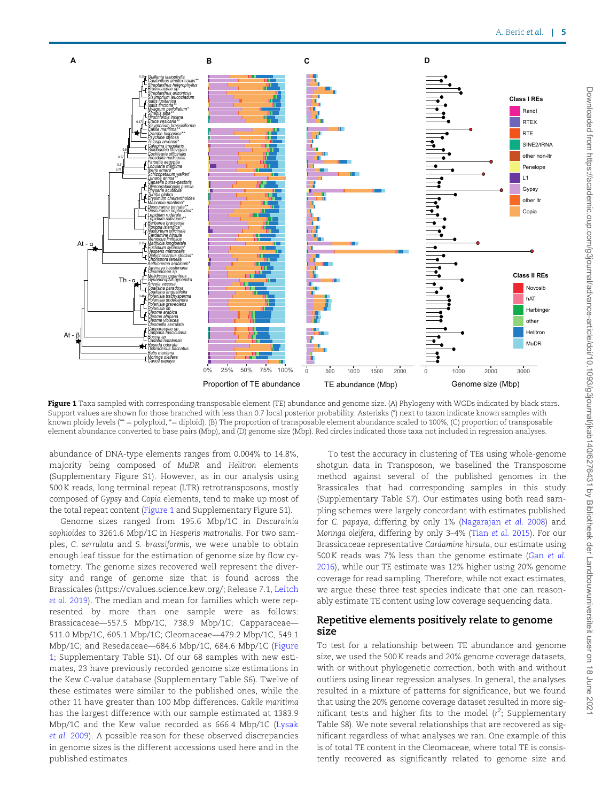<span id="page-4-0"></span>

Figure 1 Taxa sampled with corresponding transposable element (TE) abundance and genome size. (A) Phylogeny with WGDs indicated by black stars. Support values are shown for those branched with less than 0.7 local posterior probability. Asterisks (\*) next to taxon indicate known samples with known ploidy levels (\*\* = polyploid, \*= diploid). (B) The proportion of transposable element abundance scaled to 100%, (C) proportion of transposable element abundance converted to base pairs (Mbp), and (D) genome size (Mbp). Red circles indicated those taxa not included in regression analyses.

abundance of DNA-type elements ranges from 0.004% to 14.8%, majority being composed of MuDR and Helitron elements (Supplementary Figure S1). However, as in our analysis using 500 K reads, long terminal repeat (LTR) retrotransposons, mostly composed of Gypsy and Copia elements, tend to make up most of the total repeat content (Figure 1 and Supplementary Figure S1).

Genome sizes ranged from 195.6 Mbp/1C in Descurainia sophioides to 3261.6 Mbp/1C in Hesperis matronalis. For two samples, C. serrulata and S. brassiformis, we were unable to obtain enough leaf tissue for the estimation of genome size by flow cytometry. The genome sizes recovered well represent the diversity and range of genome size that is found across the Brassicales ([https://cvalues.science.kew.org/;](https://cvalues.science.kew.org/) Release 7.1, [Leitch](#page-10-0) et al. [2019\)](#page-10-0). The median and mean for families which were represented by more than one sample were as follows: Brassicaceae—557.5 Mbp/1C, 738.9 Mbp/1C; Capparaceae— 511.0 Mbp/1C, 605.1 Mbp/1C; Cleomaceae—479.2 Mbp/1C, 549.1 Mbp/1C; and Resedaceae—684.6 Mbp/1C, 684.6 Mbp/1C (Figure 1; Supplementary Table S1). Of our 68 samples with new estimates, 23 have previously recorded genome size estimations in the Kew C-value database (Supplementary Table S6). Twelve of these estimates were similar to the published ones, while the other 11 have greater than 100 Mbp differences. Cakile maritima has the largest difference with our sample estimated at 1383.9 Mbp/1C and the Kew value recorded as 666.4 Mbp/1C ([Lysak](#page-9-0) et al. [2009\)](#page-9-0). A possible reason for these observed discrepancies in genome sizes is the different accessions used here and in the published estimates.

To test the accuracy in clustering of TEs using whole-genome shotgun data in Transposon, we baselined the Transposome method against several of the published genomes in the Brassicales that had corresponding samples in this study (Supplementary Table S7). Our estimates using both read sampling schemes were largely concordant with estimates published for C. papaya, differing by only 1% [\(Nagarajan](#page-9-0) et al. 2008) and Moringa oleifera, differing by only 3–4% (Tian [et al.](#page-10-0) 2015). For our Brassicaceae representative Cardamine hirsuta, our estimate using 500 K reads was 7% less than the genome estimate (Gan [et al.](#page-9-0) [2016\)](#page-9-0), while our TE estimate was 12% higher using 20% genome coverage for read sampling. Therefore, while not exact estimates, we argue these three test species indicate that one can reasonably estimate TE content using low coverage sequencing data.

#### Repetitive elements positively relate to genome size

To test for a relationship between TE abundance and genome size, we used the 500 K reads and 20% genome coverage datasets, with or without phylogenetic correction, both with and without outliers using linear regression analyses. In general, the analyses resulted in a mixture of patterns for significance, but we found that using the 20% genome coverage dataset resulted in more significant tests and higher fits to the model  $(r^2;$  Supplementary Table S8). We note several relationships that are recovered as significant regardless of what analyses we ran. One example of this is of total TE content in the Cleomaceae, where total TE is consistently recovered as significantly related to genome size and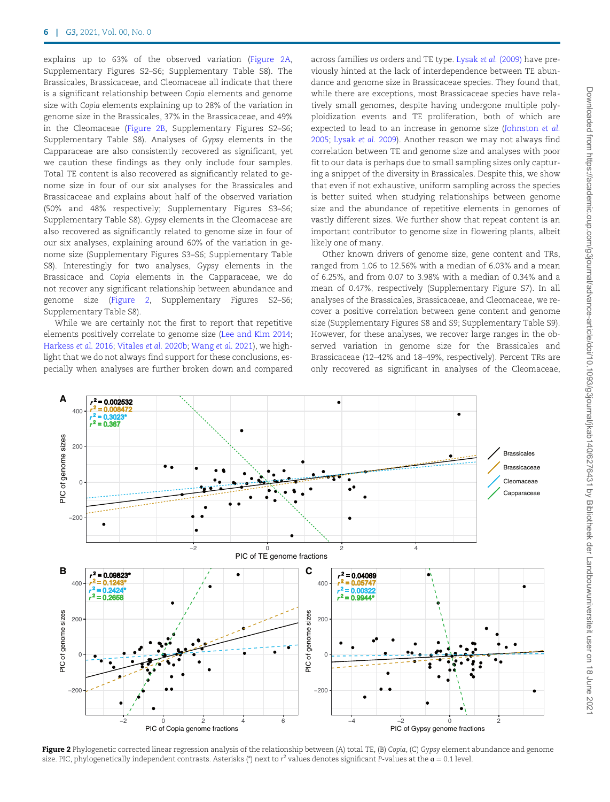explains up to 63% of the observed variation (Figure 2A, Supplementary Figures S2–S6; Supplementary Table S8). The Brassicales, Brassicaceae, and Cleomaceae all indicate that there is a significant relationship between Copia elements and genome size with Copia elements explaining up to 28% of the variation in genome size in the Brassicales, 37% in the Brassicaceae, and 49% in the Cleomaceae (Figure 2B, Supplementary Figures S2–S6; Supplementary Table S8). Analyses of Gypsy elements in the Capparaceae are also consistently recovered as significant, yet we caution these findings as they only include four samples. Total TE content is also recovered as significantly related to genome size in four of our six analyses for the Brassicales and Brassicaceae and explains about half of the observed variation (50% and 48% respectively; Supplementary Figures S3–S6; Supplementary Table S8). Gypsy elements in the Cleomaceae are also recovered as significantly related to genome size in four of our six analyses, explaining around 60% of the variation in genome size (Supplementary Figures S3–S6; Supplementary Table S8). Interestingly for two analyses, Gypsy elements in the Brassicace and Copia elements in the Capparaceae, we do not recover any significant relationship between abundance and genome size (Figure 2, Supplementary Figures S2–S6; Supplementary Table S8).

While we are certainly not the first to report that repetitive elements positively correlate to genome size [\(Lee and Kim 2014;](#page-9-0) [Harkess](#page-9-0) et al. 2016; [Vitales](#page-10-0) et al. 2020b; [Wang](#page-10-0) et al. 2021), we highlight that we do not always find support for these conclusions, especially when analyses are further broken down and compared across families vs orders and TE type. Lysak et al. [\(2009\)](#page-9-0) have previously hinted at the lack of interdependence between TE abundance and genome size in Brassicaceae species. They found that, while there are exceptions, most Brassicaceae species have relatively small genomes, despite having undergone multiple polyploidization events and TE proliferation, both of which are expected to lead to an increase in genome size ([Johnston](#page-9-0) et al. [2005](#page-9-0); [Lysak](#page-9-0) et al. 2009). Another reason we may not always find correlation between TE and genome size and analyses with poor fit to our data is perhaps due to small sampling sizes only capturing a snippet of the diversity in Brassicales. Despite this, we show that even if not exhaustive, uniform sampling across the species is better suited when studying relationships between genome size and the abundance of repetitive elements in genomes of vastly different sizes. We further show that repeat content is an important contributor to genome size in flowering plants, albeit likely one of many.

Other known drivers of genome size, gene content and TRs, ranged from 1.06 to 12.56% with a median of 6.03% and a mean of 6.25%, and from 0.07 to 3.98% with a median of 0.34% and a mean of 0.47%, respectively (Supplementary Figure S7). In all analyses of the Brassicales, Brassicaceae, and Cleomaceae, we recover a positive correlation between gene content and genome size (Supplementary Figures S8 and S9; Supplementary Table S9). However, for these analyses, we recover large ranges in the observed variation in genome size for the Brassicales and Brassicaceae (12–42% and 18–49%, respectively). Percent TRs are only recovered as significant in analyses of the Cleomaceae,



Figure 2 Phylogenetic corrected linear regression analysis of the relationship between (A) total TE, (B) Copia, (C) Gypsy element abundance and genome size. PIC, phylogenetically independent contrasts. Asterisks (\*) next to  $r^2$  values denotes significant P-values at the  $a = 0.1$  level.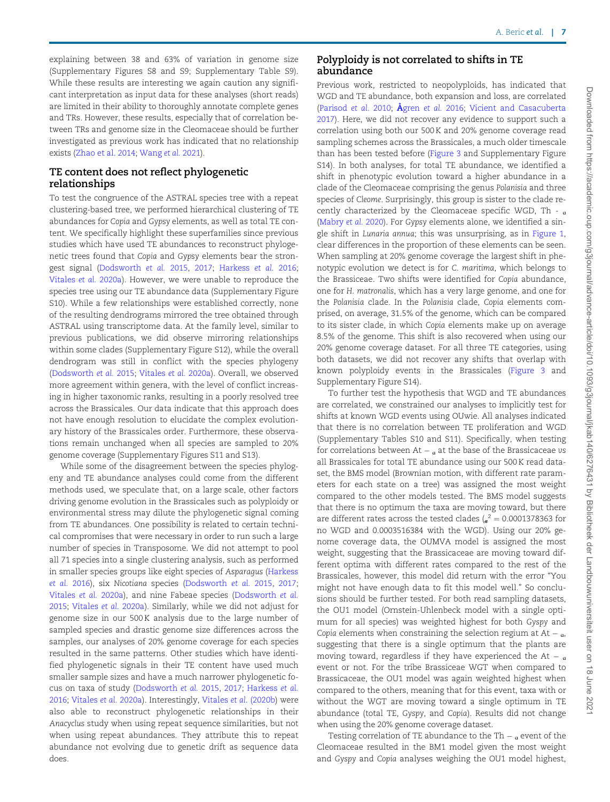explaining between 38 and 63% of variation in genome size (Supplementary Figures S8 and S9; Supplementary Table S9). While these results are interesting we again caution any significant interpretation as input data for these analyses (short reads) are limited in their ability to thoroughly annotate complete genes and TRs. However, these results, especially that of correlation between TRs and genome size in the Cleomaceae should be further investigated as previous work has indicated that no relationship exists ([Zhao et al. 2014](#page-10-0); [Wang](#page-10-0) et al. 2021).

### TE content does not reflect phylogenetic relationships

To test the congruence of the ASTRAL species tree with a repeat clustering-based tree, we performed hierarchical clustering of TE abundances for Copia and Gypsy elements, as well as total TE content. We specifically highlight these superfamilies since previous studies which have used TE abundances to reconstruct phylogenetic trees found that Copia and Gypsy elements bear the strongest signal ([Dodsworth](#page-9-0) et al. 2015, [2017](#page-9-0); [Harkess](#page-9-0) et al. 2016; [Vitales](#page-10-0) et al. 2020a). However, we were unable to reproduce the species tree using our TE abundance data (Supplementary Figure S10). While a few relationships were established correctly, none of the resulting dendrograms mirrored the tree obtained through ASTRAL using transcriptome data. At the family level, similar to previous publications, we did observe mirroring relationships within some clades (Supplementary Figure S12), while the overall dendrogram was still in conflict with the species phylogeny ([Dodsworth](#page-9-0) et al. 2015; [Vitales](#page-10-0) et al. 2020a). Overall, we observed more agreement within genera, with the level of conflict increasing in higher taxonomic ranks, resulting in a poorly resolved tree across the Brassicales. Our data indicate that this approach does not have enough resolution to elucidate the complex evolutionary history of the Brassicales order. Furthermore, these observations remain unchanged when all species are sampled to 20% genome coverage (Supplementary Figures S11 and S13).

While some of the disagreement between the species phylogeny and TE abundance analyses could come from the different methods used, we speculate that, on a large scale, other factors driving genome evolution in the Brassicales such as polyploidy or environmental stress may dilute the phylogenetic signal coming from TE abundances. One possibility is related to certain technical compromises that were necessary in order to run such a large number of species in Transposome. We did not attempt to pool all 71 species into a single clustering analysis, such as performed in smaller species groups like eight species of Asparagus ([Harkess](#page-9-0) [et al.](#page-9-0) 2016), six Nicotiana species ([Dodsworth](#page-9-0) et al. 2015, [2017](#page-9-0); [Vitales](#page-10-0) et al. 2020a), and nine Fabeae species ([Dodsworth](#page-9-0) et al. [2015](#page-9-0); [Vitales](#page-10-0) et al. 2020a). Similarly, while we did not adjust for genome size in our 500 K analysis due to the large number of sampled species and drastic genome size differences across the samples, our analyses of 20% genome coverage for each species resulted in the same patterns. Other studies which have identified phylogenetic signals in their TE content have used much smaller sample sizes and have a much narrower phylogenetic focus on taxa of study [\(Dodsworth](#page-9-0) et al. 2015, [2017](#page-9-0); [Harkess](#page-9-0) et al. [2016](#page-9-0); [Vitales](#page-10-0) et al. 2020a). Interestingly, [Vitales](#page-10-0) et al. (2020b) were also able to reconstruct phylogenetic relationships in their Anacyclus study when using repeat sequence similarities, but not when using repeat abundances. They attribute this to repeat abundance not evolving due to genetic drift as sequence data does.

## Polyploidy is not correlated to shifts in TE abundance

Previous work, restricted to neopolyploids, has indicated that WGD and TE abundance, both expansion and loss, are correlated ([Parisod](#page-10-0) [et al.](#page-8-0) 2010; Ågren et al. 2016; [Vicient and Casacuberta](#page-10-0) [2017\)](#page-10-0). Here, we did not recover any evidence to support such a correlation using both our 500 K and 20% genome coverage read sampling schemes across the Brassicales, a much older timescale than has been tested before ([Figure 3](#page-7-0) and Supplementary Figure S14). In both analyses, for total TE abundance, we identified a shift in phenotypic evolution toward a higher abundance in a clade of the Cleomaceae comprising the genus Polanisia and three species of Cleome. Surprisingly, this group is sister to the clade recently characterized by the Cleomaceae specific WGD, Th -  $_a$ ([Mabry](#page-9-0) et al. 2020). For Gypsy elements alone, we identified a single shift in Lunaria annua; this was unsurprising, as in [Figure 1,](#page-4-0) clear differences in the proportion of these elements can be seen. When sampling at 20% genome coverage the largest shift in phenotypic evolution we detect is for C. maritima, which belongs to the Brassiceae. Two shifts were identified for Copia abundance, one for H. matronalis, which has a very large genome, and one for the Polanisia clade. In the Polanisia clade, Copia elements comprised, on average, 31.5% of the genome, which can be compared to its sister clade, in which Copia elements make up on average 8.5% of the genome. This shift is also recovered when using our 20% genome coverage dataset. For all three TE categories, using both datasets, we did not recover any shifts that overlap with known polyploidy events in the Brassicales ([Figure 3](#page-7-0) and Supplementary Figure S14).

To further test the hypothesis that WGD and TE abundances are correlated, we constrained our analyses to implicitly test for shifts at known WGD events using OUwie. All analyses indicated that there is no correlation between TE proliferation and WGD (Supplementary Tables S10 and S11). Specifically, when testing for correlations between  $At _{\alpha}$  at the base of the Brassicaceae vs all Brassicales for total TE abundance using our 500 K read dataset, the BMS model (Brownian motion, with different rate parameters for each state on a tree) was assigned the most weight compared to the other models tested. The BMS model suggests that there is no optimum the taxa are moving toward, but there are different rates across the tested clades  $\int_{\sigma}^{2} = 0.0001378363$  for no WGD and 0.0003516384 with the WGD). Using our 20% genome coverage data, the OUMVA model is assigned the most weight, suggesting that the Brassicaceae are moving toward different optima with different rates compared to the rest of the Brassicales, however, this model did return with the error "You might not have enough data to fit this model well." So conclusions should be further tested. For both read sampling datasets, the OU1 model (Ornstein-Uhlenbeck model with a single optimum for all species) was weighted highest for both Gyspy and Copia elements when constraining the selection regium at At  $_{\alpha}$ , suggesting that there is a single optimum that the plants are moving toward, regardless if they have experienced the At  $_{\circ}$ event or not. For the tribe Brassiceae WGT when compared to Brassicaceae, the OU1 model was again weighted highest when compared to the others, meaning that for this event, taxa with or without the WGT are moving toward a single optimum in TE abundance (total TE, Gyspy, and Copia). Results did not change when using the 20% genome coverage dataset.

Testing correlation of TE abundance to the Th  $_{\circ}$  event of the Cleomaceae resulted in the BM1 model given the most weight and Gyspy and Copia analyses weighing the OU1 model highest,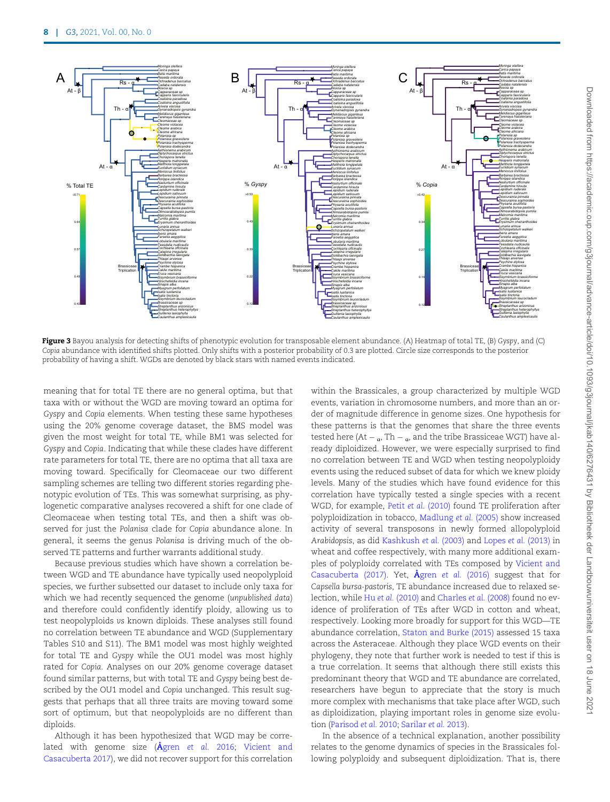<span id="page-7-0"></span>

Figure 3 Bayou analysis for detecting shifts of phenotypic evolution for transposable element abundance. (A) Heatmap of total TE, (B) Gyspy, and (C) Copia abundance with identified shifts plotted. Only shifts with a posterior probability of 0.3 are plotted. Circle size corresponds to the posterior probability of having a shift. WGDs are denoted by black stars with named events indicated.

meaning that for total TE there are no general optima, but that taxa with or without the WGD are moving toward an optima for Gyspy and Copia elements. When testing these same hypotheses using the 20% genome coverage dataset, the BMS model was given the most weight for total TE, while BM1 was selected for Gyspy and Copia. Indicating that while these clades have different rate parameters for total TE, there are no optima that all taxa are moving toward. Specifically for Cleomaceae our two different sampling schemes are telling two different stories regarding phenotypic evolution of TEs. This was somewhat surprising, as phylogenetic comparative analyses recovered a shift for one clade of Cleomaceae when testing total TEs, and then a shift was observed for just the Polanisa clade for Copia abundance alone. In general, it seems the genus Polanisa is driving much of the observed TE patterns and further warrants additional study.

Because previous studies which have shown a correlation between WGD and TE abundance have typically used neopolyploid species, we further subsetted our dataset to include only taxa for which we had recently sequenced the genome (unpublished data) and therefore could confidently identify ploidy, allowing us to test neopolyploids vs known diploids. These analyses still found no correlation between TE abundance and WGD (Supplementary Tables S10 and S11). The BM1 model was most highly weighted for total TE and Gyspy while the OU1 model was most highly rated for Copia. Analyses on our 20% genome coverage dataset found similar patterns, but with total TE and Gyspy being best described by the OU1 model and Copia unchanged. This result suggests that perhaps that all three traits are moving toward some sort of optimum, but that neopolyploids are no different than diploids.

Although it has been hypothesized that WGD may be correlated with genome size  $(\hat{A}$ gren [et al.](#page-8-0) 2016; [Vicient and](#page-10-0) [Casacuberta 2017](#page-10-0)), we did not recover support for this correlation within the Brassicales, a group characterized by multiple WGD events, variation in chromosome numbers, and more than an order of magnitude difference in genome sizes. One hypothesis for these patterns is that the genomes that share the three events tested here (At  $_{\alpha}$ , Th  $_{\alpha}$ , and the tribe Brassiceae WGT) have already diploidized. However, we were especially surprised to find no correlation between TE and WGD when testing neopolyploidy events using the reduced subset of data for which we knew ploidy levels. Many of the studies which have found evidence for this correlation have typically tested a single species with a recent WGD, for example, Petit et al. [\(2010\)](#page-10-0) found TE proliferation after polyploidization in tobacco, [Madlung](#page-9-0) et al. (2005) show increased activity of several transposons in newly formed allopolyploid Arabidopsis, as did [Kashkush](#page-9-0) et al. (2003) and Lopes et al. [\(2013\)](#page-9-0) in wheat and coffee respectively, with many more additional examples of polyploidy correlated with TEs composed by [Vicient and](#page-10-0) [Casacuberta \(2017\)](#page-10-0). Yet,  $\AA$ gren et al. [\(2016\)](#page-8-0) suggest that for Capsella bursa-pastoris, TE abundance increased due to relaxed selection, while Hu et al. [\(2010\)](#page-9-0) and [Charles](#page-8-0) et al. (2008) found no evidence of proliferation of TEs after WGD in cotton and wheat, respectively. Looking more broadly for support for this WGD—TE abundance correlation, [Staton and Burke \(2015\)](#page-10-0) assessed 15 taxa across the Asteraceae. Although they place WGD events on their phylogeny, they note that further work is needed to test if this is a true correlation. It seems that although there still exists this predominant theory that WGD and TE abundance are correlated, researchers have begun to appreciate that the story is much more complex with mechanisms that take place after WGD, such as diploidization, playing important roles in genome size evolution ([Parisod](#page-10-0) et al. 2010; [Sarilar](#page-10-0) et al. 2013).

In the absence of a technical explanation, another possibility relates to the genome dynamics of species in the Brassicales following polyploidy and subsequent diploidization. That is, there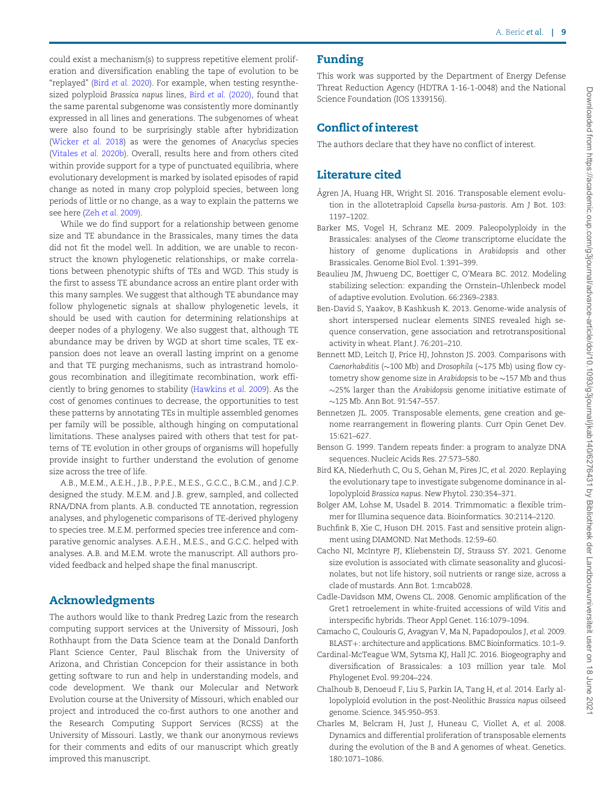<span id="page-8-0"></span>could exist a mechanism(s) to suppress repetitive element proliferation and diversification enabling the tape of evolution to be "replayed" (Bird et al. 2020). For example, when testing resynthesized polyploid Brassica napus lines, Bird et al. (2020), found that the same parental subgenome was consistently more dominantly expressed in all lines and generations. The subgenomes of wheat were also found to be surprisingly stable after hybridization ([Wicker](#page-10-0) et al. 2018) as were the genomes of Anacyclus species ([Vitales](#page-10-0) et al. 2020b). Overall, results here and from others cited within provide support for a type of punctuated equilibria, where evolutionary development is marked by isolated episodes of rapid change as noted in many crop polyploid species, between long periods of little or no change, as a way to explain the patterns we see here (Zeh et al. [2009\)](#page-10-0).

While we do find support for a relationship between genome size and TE abundance in the Brassicales, many times the data did not fit the model well. In addition, we are unable to reconstruct the known phylogenetic relationships, or make correlations between phenotypic shifts of TEs and WGD. This study is the first to assess TE abundance across an entire plant order with this many samples. We suggest that although TE abundance may follow phylogenetic signals at shallow phylogenetic levels, it should be used with caution for determining relationships at deeper nodes of a phylogeny. We also suggest that, although TE abundance may be driven by WGD at short time scales, TE expansion does not leave an overall lasting imprint on a genome and that TE purging mechanisms, such as intrastrand homologous recombination and illegitimate recombination, work efficiently to bring genomes to stability ([Hawkins](#page-9-0) et al. 2009). As the cost of genomes continues to decrease, the opportunities to test these patterns by annotating TEs in multiple assembled genomes per family will be possible, although hinging on computational limitations. These analyses paired with others that test for patterns of TE evolution in other groups of organisms will hopefully provide insight to further understand the evolution of genome size across the tree of life.

A.B., M.E.M., A.E.H., J.B., P.P.E., M.E.S., G.C.C., B.C.M., and J.C.P. designed the study. M.E.M. and J.B. grew, sampled, and collected RNA/DNA from plants. A.B. conducted TE annotation, regression analyses, and phylogenetic comparisons of TE-derived phylogeny to species tree. M.E.M. performed species tree inference and comparative genomic analyses. A.E.H., M.E.S., and G.C.C. helped with analyses. A.B. and M.E.M. wrote the manuscript. All authors provided feedback and helped shape the final manuscript.

## Acknowledgments

The authors would like to thank Predreg Lazic from the research computing support services at the University of Missouri, Josh Rothhaupt from the Data Science team at the Donald Danforth Plant Science Center, Paul Blischak from the University of Arizona, and Christian Concepcion for their assistance in both getting software to run and help in understanding models, and code development. We thank our Molecular and Network Evolution course at the University of Missouri, which enabled our project and introduced the co-first authors to one another and the Research Computing Support Services (RCSS) at the University of Missouri. Lastly, we thank our anonymous reviews for their comments and edits of our manuscript which greatly improved this manuscript.

## Funding

This work was supported by the Department of Energy Defense Threat Reduction Agency (HDTRA 1-16-1-0048) and the National Science Foundation (IOS 1339156).

## Conflict of interest

The authors declare that they have no conflict of interest.

# Literature cited

- Ågren JA, Huang HR, Wright SI. 2016. Transposable element evolution in the allotetraploid Capsella bursa-pastoris. Am J Bot. 103: 1197–1202.
- Barker MS, Vogel H, Schranz ME. 2009. Paleopolyploidy in the Brassicales: analyses of the Cleome transcriptome elucidate the history of genome duplications in Arabidopsis and other Brassicales. Genome Biol Evol. 1:391–399.
- Beaulieu JM, Jhwueng DC, Boettiger C, O'Meara BC. 2012. Modeling stabilizing selection: expanding the Ornstein–Uhlenbeck model of adaptive evolution. Evolution. 66:2369–2383.
- Ben-David S, Yaakov, B Kashkush K. 2013. Genome-wide analysis of short interspersed nuclear elements SINES revealed high sequence conservation, gene association and retrotranspositional activity in wheat. Plant J. 76:201–210.
- Bennett MD, Leitch IJ, Price HJ, Johnston JS. 2003. Comparisons with Caenorhabditis ( $\sim$ 100 Mb) and Drosophila ( $\sim$ 175 Mb) using flow cytometry show genome size in Arabidopsis to be  $\sim$  157 Mb and thus  $\sim$ 25% larger than the Arabidopsis genome initiative estimate of  $\sim$ 125 Mb. Ann Bot. 91:547–557.
- Bennetzen JL. 2005. Transposable elements, gene creation and genome rearrangement in flowering plants. Curr Opin Genet Dev. 15:621–627.
- Benson G. 1999. Tandem repeats finder: a program to analyze DNA sequences. Nucleic Acids Res. 27:573–580.
- Bird KA, Niederhuth C, Ou S, Gehan M, Pires JC, et al. 2020. Replaying the evolutionary tape to investigate subgenome dominance in allopolyploid Brassica napus. New Phytol. 230:354–371.
- Bolger AM, Lohse M, Usadel B. 2014. Trimmomatic: a flexible trimmer for Illumina sequence data. Bioinformatics. 30:2114–2120.
- Buchfink B, Xie C, Huson DH. 2015. Fast and sensitive protein alignment using DIAMOND. Nat Methods. 12:59–60.
- Cacho NI, McIntyre PJ, Kliebenstein DJ, Strauss SY. 2021. Genome size evolution is associated with climate seasonality and glucosinolates, but not life history, soil nutrients or range size, across a clade of mustards. Ann Bot. 1:mcab028.
- Cadle-Davidson MM, Owens CL. 2008. Genomic amplification of the Gret1 retroelement in white-fruited accessions of wild Vitis and interspecific hybrids. Theor Appl Genet. 116:1079–1094.
- Camacho C, Coulouris G, Avagyan V, Ma N, Papadopoulos J, et al. 2009. BLAST+: architecture and applications. BMC Bioinformatics. 10:1-9.
- Cardinal-McTeague WM, Sytsma KJ, Hall JC. 2016. Biogeography and diversification of Brassicales: a 103 million year tale. Mol Phylogenet Evol. 99:204–224.
- Chalhoub B, Denoeud F, Liu S, Parkin IA, Tang H, et al. 2014. Early allopolyploid evolution in the post-Neolithic Brassica napus oilseed genome. Science. 345:950–953.
- Charles M, Belcram H, Just J, Huneau C, Viollet A, et al. 2008. Dynamics and differential proliferation of transposable elements during the evolution of the B and A genomes of wheat. Genetics. 180:1071–1086.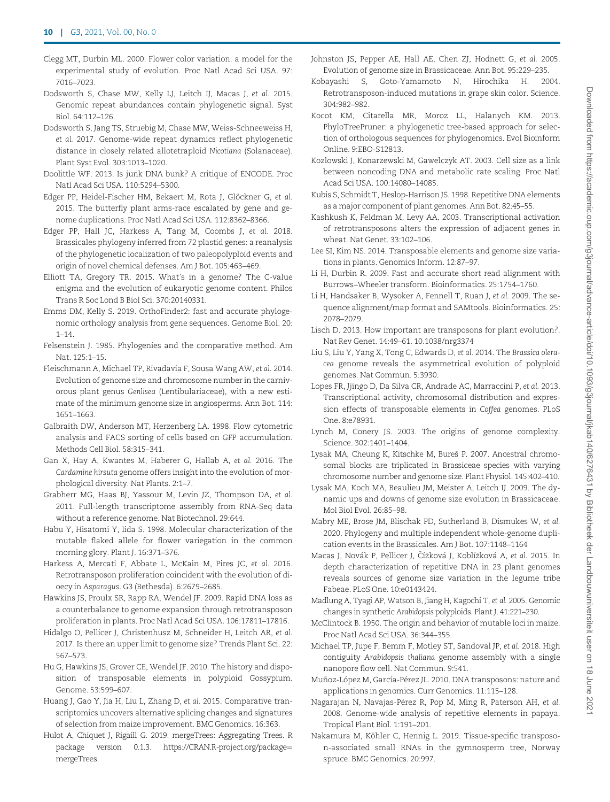- <span id="page-9-0"></span>Clegg MT, Durbin ML. 2000. Flower color variation: a model for the experimental study of evolution. Proc Natl Acad Sci USA. 97: 7016–7023.
- Dodsworth S, Chase MW, Kelly LJ, Leitch IJ, Macas J, et al. 2015. Genomic repeat abundances contain phylogenetic signal. Syst Biol. 64:112–126.
- Dodsworth S, Jang TS, Struebig M, Chase MW, Weiss-Schneeweiss H, et al. 2017. Genome-wide repeat dynamics reflect phylogenetic distance in closely related allotetraploid Nicotiana (Solanaceae). Plant Syst Evol. 303:1013–1020.
- Doolittle WF. 2013. Is junk DNA bunk? A critique of ENCODE. Proc Natl Acad Sci USA. 110:5294–5300.
- Edger PP, Heidel-Fischer HM, Bekaert M, Rota J, Glöckner G, et al. 2015. The butterfly plant arms-race escalated by gene and genome duplications. Proc Natl Acad Sci USA. 112:8362–8366.
- Edger PP, Hall JC, Harkess A, Tang M, Coombs J, et al. 2018. Brassicales phylogeny inferred from 72 plastid genes: a reanalysis of the phylogenetic localization of two paleopolyploid events and origin of novel chemical defenses. Am J Bot. 105:463–469.
- Elliott TA, Gregory TR. 2015. What's in a genome? The C-value enigma and the evolution of eukaryotic genome content. Philos Trans R Soc Lond B Biol Sci. 370:20140331.
- Emms DM, Kelly S. 2019. OrthoFinder2: fast and accurate phylogenomic orthology analysis from gene sequences. Genome Biol. 20:  $1 - 14.$
- Felsenstein J. 1985. Phylogenies and the comparative method. Am Nat. 125:1–15.
- Fleischmann A, Michael TP, Rivadavia F, Sousa Wang AW, et al. 2014. Evolution of genome size and chromosome number in the carnivorous plant genus Genlisea (Lentibulariaceae), with a new estimate of the minimum genome size in angiosperms. Ann Bot. 114: 1651–1663.
- Galbraith DW, Anderson MT, Herzenberg LA. 1998. Flow cytometric analysis and FACS sorting of cells based on GFP accumulation. Methods Cell Biol. 58:315–341.
- Gan X, Hay A, Kwantes M, Haberer G, Hallab A, et al. 2016. The Cardamine hirsuta genome offers insight into the evolution of morphological diversity. Nat Plants. 2:1–7.
- Grabherr MG, Haas BJ, Yassour M, Levin JZ, Thompson DA, et al. 2011. Full-length transcriptome assembly from RNA-Seq data without a reference genome. Nat Biotechnol. 29:644.
- Habu Y, Hisatomi Y, Iida S. 1998. Molecular characterization of the mutable flaked allele for flower variegation in the common morning glory. Plant J. 16:371–376.
- Harkess A, Mercati F, Abbate L, McKain M, Pires JC, et al. 2016. Retrotransposon proliferation coincident with the evolution of dioecy in Asparagus. G3 (Bethesda). 6:2679–2685.
- Hawkins JS, Proulx SR, Rapp RA, Wendel JF. 2009. Rapid DNA loss as a counterbalance to genome expansion through retrotransposon proliferation in plants. Proc Natl Acad Sci USA. 106:17811–17816.
- Hidalgo O, Pellicer J, Christenhusz M, Schneider H, Leitch AR, et al. 2017. Is there an upper limit to genome size? Trends Plant Sci. 22: 567–573.
- Hu G, Hawkins JS, Grover CE, Wendel JF. 2010. The history and disposition of transposable elements in polyploid Gossypium. Genome. 53:599–607.
- Huang J, Gao Y, Jia H, Liu L, Zhang D, et al. 2015. Comparative transcriptomics uncovers alternative splicing changes and signatures of selection from maize improvement. BMC Genomics. 16:363.
- Hulot A, Chiquet J, Rigaill G. 2019. mergeTrees: Aggregating Trees. R package version 0.1.3. [https://CRAN.R-project.org/package](https://CRAN.R-project.org/package=mergeTrees)= [mergeTrees.](https://CRAN.R-project.org/package=mergeTrees)
- Johnston JS, Pepper AE, Hall AE, Chen ZJ, Hodnett G, et al. 2005. Evolution of genome size in Brassicaceae. Ann Bot. 95:229–235.
- Kobayashi S, Goto-Yamamoto N, Hirochika H. 2004. Retrotransposon-induced mutations in grape skin color. Science. 304:982–982.
- Kocot KM, Citarella MR, Moroz LL, Halanych KM. 2013. PhyloTreePruner: a phylogenetic tree-based approach for selection of orthologous sequences for phylogenomics. Evol Bioinform Online. 9:EBO-S12813.
- Kozlowski J, Konarzewski M, Gawelczyk AT. 2003. Cell size as a link between noncoding DNA and metabolic rate scaling. Proc Natl Acad Sci USA. 100:14080–14085.
- Kubis S, Schmidt T, Heslop-Harrison JS. 1998. Repetitive DNA elements as a major component of plant genomes. Ann Bot. 82:45–55.
- Kashkush K, Feldman M, Levy AA. 2003. Transcriptional activation of retrotransposons alters the expression of adjacent genes in wheat. Nat Genet. 33:102–106.
- Lee SI, Kim NS. 2014. Transposable elements and genome size variations in plants. Genomics Inform. 12:87–97.
- Li H, Durbin R. 2009. Fast and accurate short read alignment with Burrows–Wheeler transform. Bioinformatics. 25:1754–1760.
- Li H, Handsaker B, Wysoker A, Fennell T, Ruan J, et al. 2009. The sequence alignment/map format and SAMtools. Bioinformatics. 25: 2078–2079.
- Lisch D. 2013. How important are transposons for plant evolution?. Nat Rev Genet. 14:49–61. 10.1038/nrg3374
- Liu S, Liu Y, Yang X, Tong C, Edwards D, et al. 2014. The Brassica oleracea genome reveals the asymmetrical evolution of polyploid genomes. Nat Commun. 5:3930.
- Lopes FR, Jjingo D, Da Silva CR, Andrade AC, Marraccini P, et al. 2013. Transcriptional activity, chromosomal distribution and expression effects of transposable elements in Coffea genomes. PLoS One. 8:e78931.
- Lynch M, Conery JS. 2003. The origins of genome complexity. Science. 302:1401–1404.
- Lysak MA, Cheung K, Kitschke M, Bureš P. 2007. Ancestral chromosomal blocks are triplicated in Brassiceae species with varying chromosome number and genome size. Plant Physiol. 145:402–410.
- Lysak MA, Koch MA, Beaulieu JM, Meister A, Leitch IJ. 2009. The dynamic ups and downs of genome size evolution in Brassicaceae. Mol Biol Evol. 26:85–98.
- Mabry ME, Brose JM, Blischak PD, Sutherland B, Dismukes W, et al. 2020. Phylogeny and multiple independent whole-genome duplication events in the Brassicales. Am J Bot. 107:1148–1164
- Macas J, Novák P, Pellicer J, Čížková J, Koblížková A, et al. 2015. In depth characterization of repetitive DNA in 23 plant genomes reveals sources of genome size variation in the legume tribe Fabeae. PLoS One. 10:e0143424.
- Madlung A, Tyagi AP, Watson B, Jiang H, Kagochi T, et al. 2005. Genomic changes in synthetic Arabidopsis polyploids. Plant J. 41:221–230.
- McClintock B. 1950. The origin and behavior of mutable loci in maize. Proc Natl Acad Sci USA. 36:344–355.
- Michael TP, Jupe F, Bemm F, Motley ST, Sandoval JP, et al. 2018. High contiguity Arabidopsis thaliana genome assembly with a single nanopore flow cell. Nat Commun. 9:541.
- Muñoz-López M, García-Pérez JL. 2010. DNA transposons: nature and applications in genomics. Curr Genomics. 11:115–128.
- Nagarajan N, Navajas-Pérez R, Pop M, Ming R, Paterson AH, et al. 2008. Genome-wide analysis of repetitive elements in papaya. Tropical Plant Biol. 1:191–201.
- Nakamura M, Köhler C, Hennig L. 2019. Tissue-specific transposon-associated small RNAs in the gymnosperm tree, Norway spruce. BMC Genomics. 20:997.